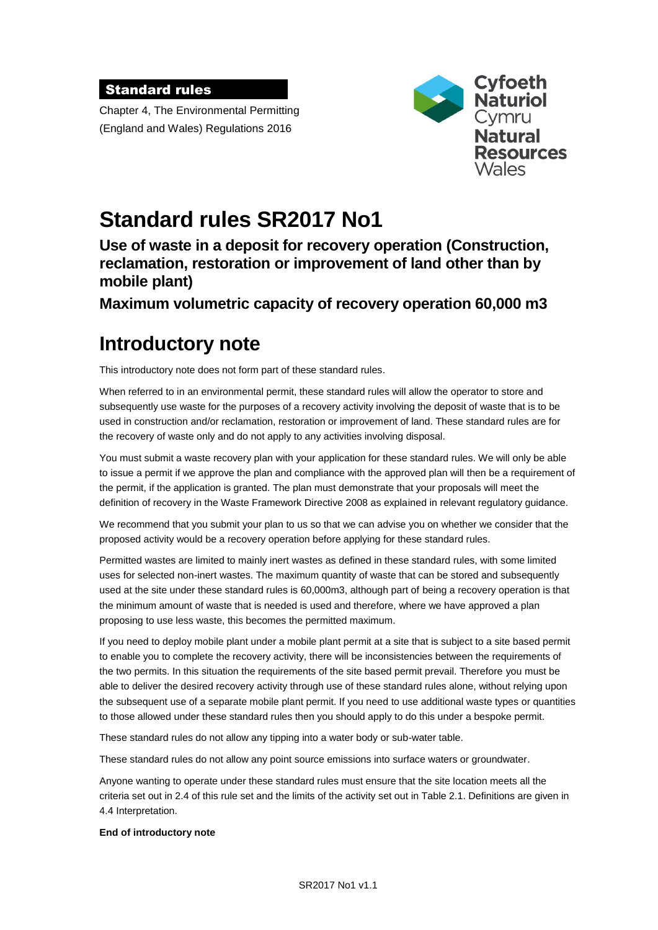#### Standard rules

Chapter 4, The Environmental Permitting (England and Wales) Regulations 2016



# **Standard rules SR2017 No1**

**Use of waste in a deposit for recovery operation (Construction, reclamation, restoration or improvement of land other than by mobile plant)**

**Maximum volumetric capacity of recovery operation 60,000 m3**

# **Introductory note**

This introductory note does not form part of these standard rules.

When referred to in an environmental permit, these standard rules will allow the operator to store and subsequently use waste for the purposes of a recovery activity involving the deposit of waste that is to be used in construction and/or reclamation, restoration or improvement of land. These standard rules are for the recovery of waste only and do not apply to any activities involving disposal.

You must submit a waste recovery plan with your application for these standard rules. We will only be able to issue a permit if we approve the plan and compliance with the approved plan will then be a requirement of the permit, if the application is granted. The plan must demonstrate that your proposals will meet the definition of recovery in the Waste Framework Directive 2008 as explained in relevant regulatory guidance.

We recommend that you submit your plan to us so that we can advise you on whether we consider that the proposed activity would be a recovery operation before applying for these standard rules.

Permitted wastes are limited to mainly inert wastes as defined in these standard rules, with some limited uses for selected non-inert wastes. The maximum quantity of waste that can be stored and subsequently used at the site under these standard rules is 60,000m3, although part of being a recovery operation is that the minimum amount of waste that is needed is used and therefore, where we have approved a plan proposing to use less waste, this becomes the permitted maximum.

If you need to deploy mobile plant under a mobile plant permit at a site that is subject to a site based permit to enable you to complete the recovery activity, there will be inconsistencies between the requirements of the two permits. In this situation the requirements of the site based permit prevail. Therefore you must be able to deliver the desired recovery activity through use of these standard rules alone, without relying upon the subsequent use of a separate mobile plant permit. If you need to use additional waste types or quantities to those allowed under these standard rules then you should apply to do this under a bespoke permit.

These standard rules do not allow any tipping into a water body or sub-water table.

These standard rules do not allow any point source emissions into surface waters or groundwater.

Anyone wanting to operate under these standard rules must ensure that the site location meets all the criteria set out in 2.4 of this rule set and the limits of the activity set out in Table 2.1. Definitions are given in 4.4 Interpretation.

#### **End of introductory note**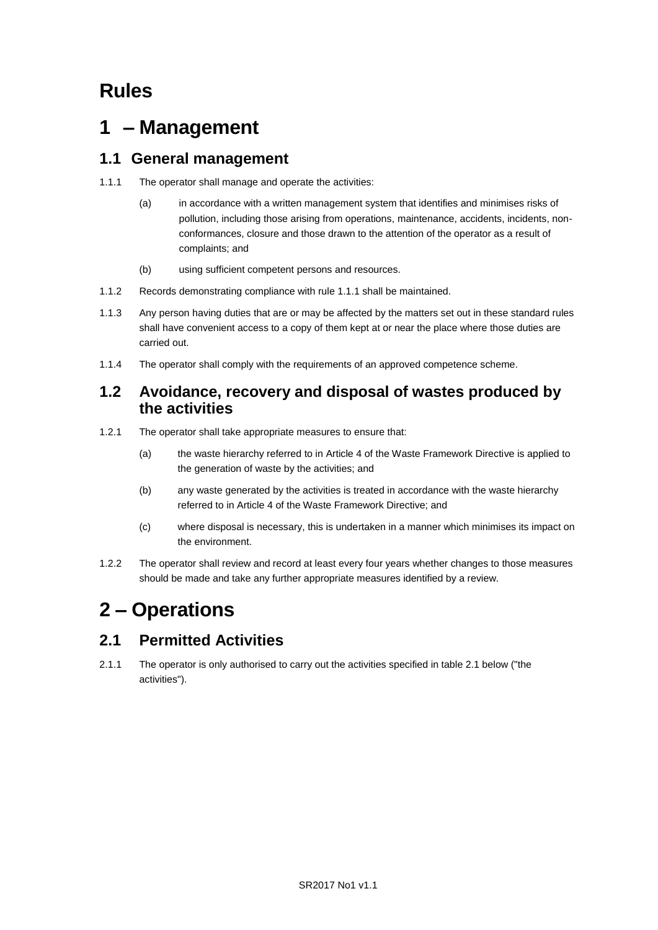# **Rules**

# **1 – Management**

## **1.1 General management**

- 1.1.1 The operator shall manage and operate the activities:
	- (a) in accordance with a written management system that identifies and minimises risks of pollution, including those arising from operations, maintenance, accidents, incidents, nonconformances, closure and those drawn to the attention of the operator as a result of complaints; and
	- (b) using sufficient competent persons and resources.
- 1.1.2 Records demonstrating compliance with rule 1.1.1 shall be maintained.
- 1.1.3 Any person having duties that are or may be affected by the matters set out in these standard rules shall have convenient access to a copy of them kept at or near the place where those duties are carried out.
- 1.1.4 The operator shall comply with the requirements of an approved competence scheme.

#### **1.2 Avoidance, recovery and disposal of wastes produced by the activities**

- 1.2.1 The operator shall take appropriate measures to ensure that:
	- (a) the waste hierarchy referred to in Article 4 of the Waste Framework Directive is applied to the generation of waste by the activities; and
	- (b) any waste generated by the activities is treated in accordance with the waste hierarchy referred to in Article 4 of the Waste Framework Directive; and
	- (c) where disposal is necessary, this is undertaken in a manner which minimises its impact on the environment.
- 1.2.2 The operator shall review and record at least every four years whether changes to those measures should be made and take any further appropriate measures identified by a review.

# **2 – Operations**

# **2.1 Permitted Activities**

2.1.1 The operator is only authorised to carry out the activities specified in table 2.1 below ("the activities").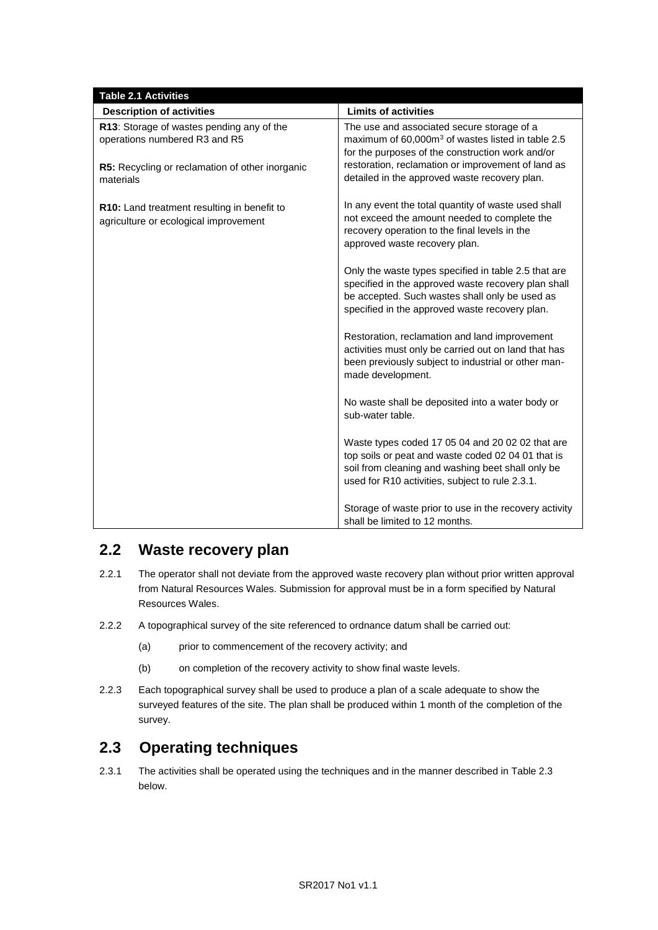| <b>Table 2.1 Activities</b>                                                                                                                |                                                                                                                                                                                                                                                                        |
|--------------------------------------------------------------------------------------------------------------------------------------------|------------------------------------------------------------------------------------------------------------------------------------------------------------------------------------------------------------------------------------------------------------------------|
| <b>Description of activities</b>                                                                                                           | <b>Limits of activities</b>                                                                                                                                                                                                                                            |
| R13: Storage of wastes pending any of the<br>operations numbered R3 and R5<br>R5: Recycling or reclamation of other inorganic<br>materials | The use and associated secure storage of a<br>maximum of 60,000m <sup>3</sup> of wastes listed in table 2.5<br>for the purposes of the construction work and/or<br>restoration, reclamation or improvement of land as<br>detailed in the approved waste recovery plan. |
| R10: Land treatment resulting in benefit to<br>agriculture or ecological improvement                                                       | In any event the total quantity of waste used shall<br>not exceed the amount needed to complete the<br>recovery operation to the final levels in the<br>approved waste recovery plan.                                                                                  |
|                                                                                                                                            | Only the waste types specified in table 2.5 that are<br>specified in the approved waste recovery plan shall<br>be accepted. Such wastes shall only be used as<br>specified in the approved waste recovery plan.                                                        |
|                                                                                                                                            | Restoration, reclamation and land improvement<br>activities must only be carried out on land that has<br>been previously subject to industrial or other man-<br>made development.                                                                                      |
|                                                                                                                                            | No waste shall be deposited into a water body or<br>sub-water table.                                                                                                                                                                                                   |
|                                                                                                                                            | Waste types coded 17 05 04 and 20 02 02 that are<br>top soils or peat and waste coded 02 04 01 that is<br>soil from cleaning and washing beet shall only be<br>used for R10 activities, subject to rule 2.3.1.                                                         |
|                                                                                                                                            | Storage of waste prior to use in the recovery activity<br>shall be limited to 12 months.                                                                                                                                                                               |

### **2.2 Waste recovery plan**

- 2.2.1 The operator shall not deviate from the approved waste recovery plan without prior written approval from Natural Resources Wales. Submission for approval must be in a form specified by Natural Resources Wales.
- 2.2.2 A topographical survey of the site referenced to ordnance datum shall be carried out:
	- (a) prior to commencement of the recovery activity; and
	- (b) on completion of the recovery activity to show final waste levels.
- 2.2.3 Each topographical survey shall be used to produce a plan of a scale adequate to show the surveyed features of the site. The plan shall be produced within 1 month of the completion of the survey.

# **2.3 Operating techniques**

2.3.1 The activities shall be operated using the techniques and in the manner described in Table 2.3 below.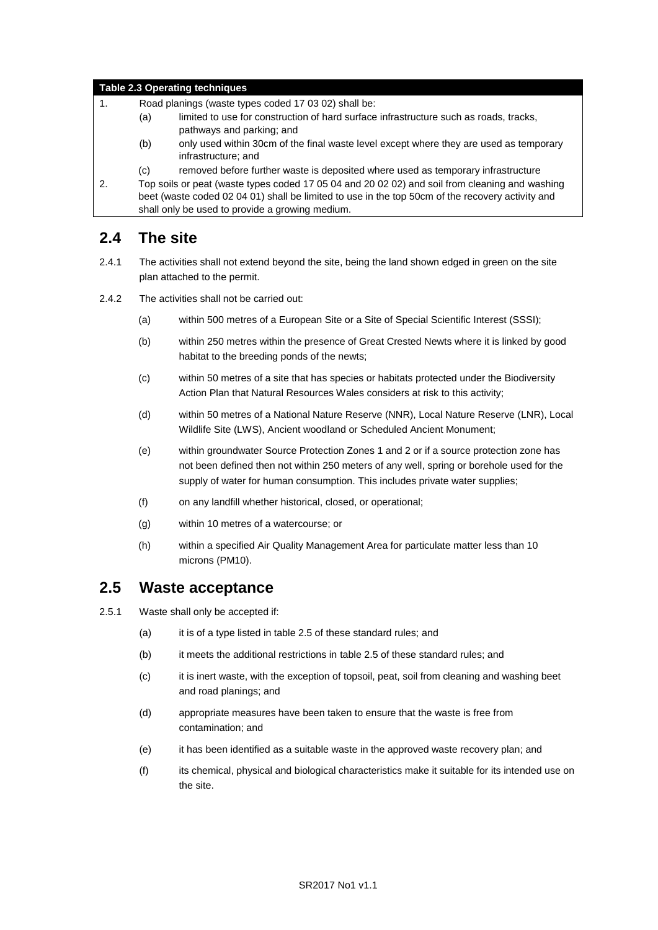#### **Table 2.3 Operating techniques**

- 1. Road planings (waste types coded 17 03 02) shall be:
	- (a) limited to use for construction of hard surface infrastructure such as roads, tracks, pathways and parking; and
	- (b) only used within 30cm of the final waste level except where they are used as temporary infrastructure; and
	- (c) removed before further waste is deposited where used as temporary infrastructure

2. Top soils or peat (waste types coded 17 05 04 and 20 02 02) and soil from cleaning and washing beet (waste coded 02 04 01) shall be limited to use in the top 50cm of the recovery activity and shall only be used to provide a growing medium.

### **2.4 The site**

- 2.4.1 The activities shall not extend beyond the site, being the land shown edged in green on the site plan attached to the permit.
- 2.4.2 The activities shall not be carried out:
	- (a) within 500 metres of a European Site or a Site of Special Scientific Interest (SSSI);
	- (b) within 250 metres within the presence of Great Crested Newts where it is linked by good habitat to the breeding ponds of the newts;
	- (c) within 50 metres of a site that has species or habitats protected under the Biodiversity Action Plan that Natural Resources Wales considers at risk to this activity;
	- (d) within 50 metres of a National Nature Reserve (NNR), Local Nature Reserve (LNR), Local Wildlife Site (LWS), Ancient woodland or Scheduled Ancient Monument;
	- (e) within groundwater Source Protection Zones 1 and 2 or if a source protection zone has not been defined then not within 250 meters of any well, spring or borehole used for the supply of water for human consumption. This includes private water supplies;
	- (f) on any landfill whether historical, closed, or operational;
	- (g) within 10 metres of a watercourse; or
	- (h) within a specified Air Quality Management Area for particulate matter less than 10 microns (PM10).

#### **2.5 Waste acceptance**

- 2.5.1 Waste shall only be accepted if:
	- (a) it is of a type listed in table 2.5 of these standard rules; and
	- (b) it meets the additional restrictions in table 2.5 of these standard rules; and
	- (c) it is inert waste, with the exception of topsoil, peat, soil from cleaning and washing beet and road planings; and
	- (d) appropriate measures have been taken to ensure that the waste is free from contamination; and
	- (e) it has been identified as a suitable waste in the approved waste recovery plan; and
	- (f) its chemical, physical and biological characteristics make it suitable for its intended use on the site.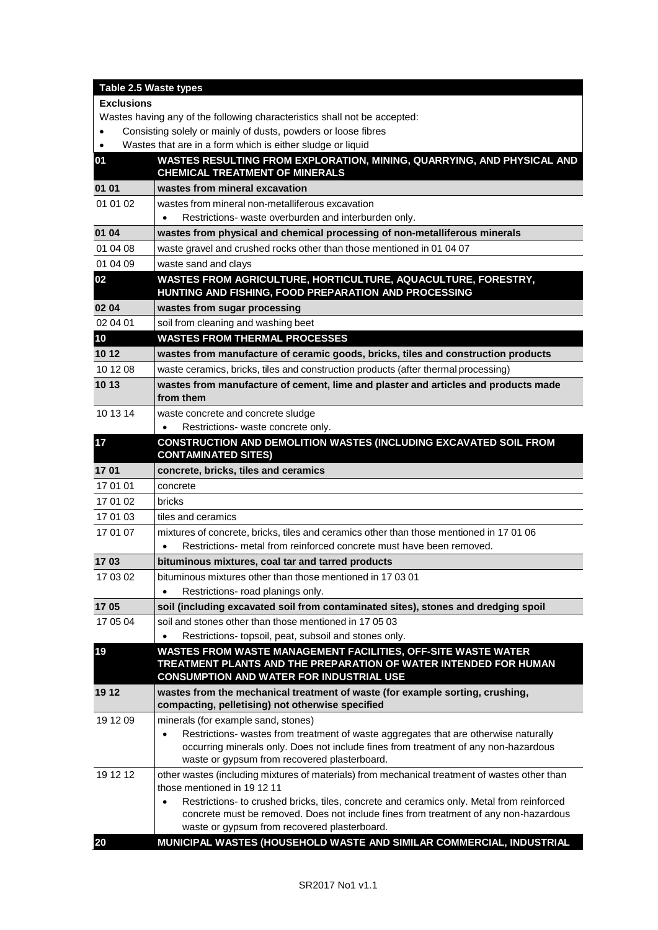| Table 2.5 Waste types                                                     |                                                                                                                                                                                                |  |
|---------------------------------------------------------------------------|------------------------------------------------------------------------------------------------------------------------------------------------------------------------------------------------|--|
| <b>Exclusions</b>                                                         |                                                                                                                                                                                                |  |
| Wastes having any of the following characteristics shall not be accepted: |                                                                                                                                                                                                |  |
| $\bullet$                                                                 | Consisting solely or mainly of dusts, powders or loose fibres                                                                                                                                  |  |
| $\bullet$                                                                 | Wastes that are in a form which is either sludge or liquid                                                                                                                                     |  |
| 01                                                                        | WASTES RESULTING FROM EXPLORATION, MINING, QUARRYING, AND PHYSICAL AND<br><b>CHEMICAL TREATMENT OF MINERALS</b>                                                                                |  |
| 01 01                                                                     | wastes from mineral excavation                                                                                                                                                                 |  |
| 01 01 02                                                                  | wastes from mineral non-metalliferous excavation                                                                                                                                               |  |
|                                                                           | Restrictions- waste overburden and interburden only.                                                                                                                                           |  |
| 01 04                                                                     | wastes from physical and chemical processing of non-metalliferous minerals                                                                                                                     |  |
| 01 04 08                                                                  | waste gravel and crushed rocks other than those mentioned in 01 04 07                                                                                                                          |  |
| 01 04 09                                                                  | waste sand and clays                                                                                                                                                                           |  |
| 02                                                                        | WASTES FROM AGRICULTURE, HORTICULTURE, AQUACULTURE, FORESTRY,<br>HUNTING AND FISHING, FOOD PREPARATION AND PROCESSING                                                                          |  |
| 02 04                                                                     | wastes from sugar processing                                                                                                                                                                   |  |
| 02 04 01                                                                  | soil from cleaning and washing beet                                                                                                                                                            |  |
| 10                                                                        | <b>WASTES FROM THERMAL PROCESSES</b>                                                                                                                                                           |  |
| 10 12                                                                     | wastes from manufacture of ceramic goods, bricks, tiles and construction products                                                                                                              |  |
| 10 12 08                                                                  | waste ceramics, bricks, tiles and construction products (after thermal processing)                                                                                                             |  |
| 10 13                                                                     | wastes from manufacture of cement, lime and plaster and articles and products made                                                                                                             |  |
|                                                                           | from them                                                                                                                                                                                      |  |
| 10 13 14                                                                  | waste concrete and concrete sludge                                                                                                                                                             |  |
|                                                                           | Restrictions- waste concrete only.                                                                                                                                                             |  |
| 17                                                                        | CONSTRUCTION AND DEMOLITION WASTES (INCLUDING EXCAVATED SOIL FROM<br><b>CONTAMINATED SITES)</b>                                                                                                |  |
| 1701                                                                      | concrete, bricks, tiles and ceramics                                                                                                                                                           |  |
| 17 01 01                                                                  | concrete                                                                                                                                                                                       |  |
| 17 01 02                                                                  | <b>bricks</b>                                                                                                                                                                                  |  |
| 17 01 03                                                                  | tiles and ceramics                                                                                                                                                                             |  |
| 17 01 07                                                                  | mixtures of concrete, bricks, tiles and ceramics other than those mentioned in 17 01 06                                                                                                        |  |
|                                                                           | Restrictions- metal from reinforced concrete must have been removed.                                                                                                                           |  |
| 1703                                                                      | bituminous mixtures, coal tar and tarred products                                                                                                                                              |  |
| 17 03 02                                                                  | bituminous mixtures other than those mentioned in 17 03 01                                                                                                                                     |  |
|                                                                           | Restrictions- road planings only.                                                                                                                                                              |  |
| 1705                                                                      | soil (including excavated soil from contaminated sites), stones and dredging spoil                                                                                                             |  |
| 17 05 04                                                                  | soil and stones other than those mentioned in 170503                                                                                                                                           |  |
|                                                                           | Restrictions- topsoil, peat, subsoil and stones only.                                                                                                                                          |  |
| 19                                                                        | WASTES FROM WASTE MANAGEMENT FACILITIES, OFF-SITE WASTE WATER<br>TREATMENT PLANTS AND THE PREPARATION OF WATER INTENDED FOR HUMAN<br><b>CONSUMPTION AND WATER FOR INDUSTRIAL USE</b>           |  |
| 19 12                                                                     | wastes from the mechanical treatment of waste (for example sorting, crushing,<br>compacting, pelletising) not otherwise specified                                                              |  |
| 19 12 09                                                                  | minerals (for example sand, stones)                                                                                                                                                            |  |
|                                                                           | Restrictions- wastes from treatment of waste aggregates that are otherwise naturally<br>$\bullet$                                                                                              |  |
|                                                                           | occurring minerals only. Does not include fines from treatment of any non-hazardous                                                                                                            |  |
|                                                                           | waste or gypsum from recovered plasterboard.                                                                                                                                                   |  |
| 19 12 12                                                                  | other wastes (including mixtures of materials) from mechanical treatment of wastes other than                                                                                                  |  |
|                                                                           | those mentioned in 19 12 11                                                                                                                                                                    |  |
|                                                                           | Restrictions- to crushed bricks, tiles, concrete and ceramics only. Metal from reinforced<br>$\bullet$<br>concrete must be removed. Does not include fines from treatment of any non-hazardous |  |
|                                                                           | waste or gypsum from recovered plasterboard.                                                                                                                                                   |  |
| 20                                                                        | MUNICIPAL WASTES (HOUSEHOLD WASTE AND SIMILAR COMMERCIAL, INDUSTRIAL                                                                                                                           |  |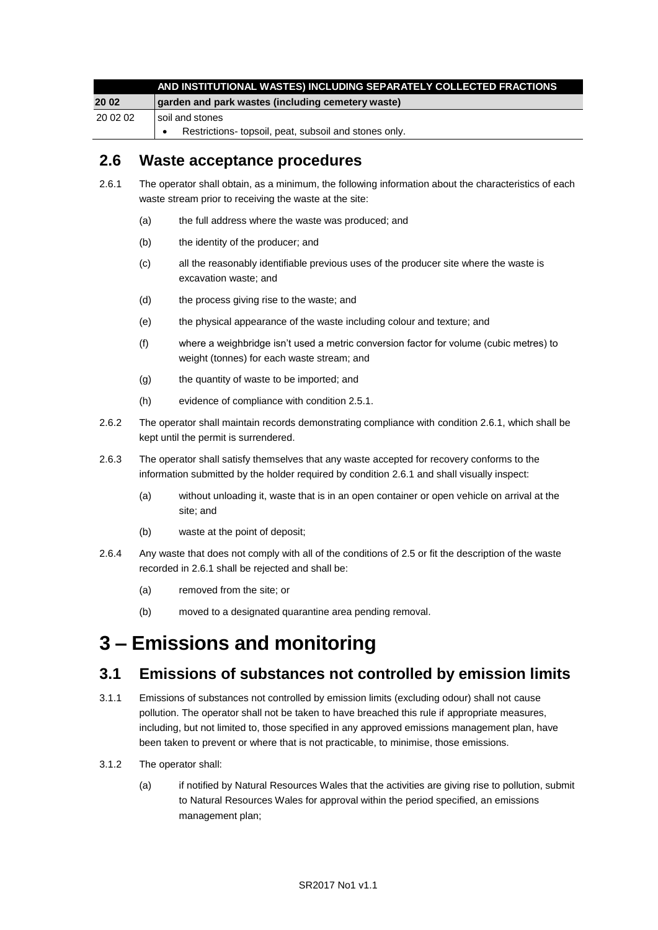|          | AND INSTITUTIONAL WASTES) INCLUDING SEPARATELY COLLECTED FRACTIONS |
|----------|--------------------------------------------------------------------|
| 20 02    | garden and park wastes (including cemetery waste)                  |
| 20 02 02 | l soil and stones                                                  |
|          | Restrictions-topsoil, peat, subsoil and stones only.               |

### **2.6 Waste acceptance procedures**

- 2.6.1 The operator shall obtain, as a minimum, the following information about the characteristics of each waste stream prior to receiving the waste at the site:
	- (a) the full address where the waste was produced; and
	- (b) the identity of the producer; and
	- (c) all the reasonably identifiable previous uses of the producer site where the waste is excavation waste; and
	- (d) the process giving rise to the waste; and
	- (e) the physical appearance of the waste including colour and texture; and
	- (f) where a weighbridge isn't used a metric conversion factor for volume (cubic metres) to weight (tonnes) for each waste stream; and
	- (g) the quantity of waste to be imported; and
	- (h) evidence of compliance with condition 2.5.1.
- 2.6.2 The operator shall maintain records demonstrating compliance with condition 2.6.1, which shall be kept until the permit is surrendered.
- 2.6.3 The operator shall satisfy themselves that any waste accepted for recovery conforms to the information submitted by the holder required by condition 2.6.1 and shall visually inspect:
	- (a) without unloading it, waste that is in an open container or open vehicle on arrival at the site; and
	- (b) waste at the point of deposit;
- 2.6.4 Any waste that does not comply with all of the conditions of 2.5 or fit the description of the waste recorded in 2.6.1 shall be rejected and shall be:
	- (a) removed from the site; or
	- (b) moved to a designated quarantine area pending removal.

# **3 – Emissions and monitoring**

### **3.1 Emissions of substances not controlled by emission limits**

- 3.1.1 Emissions of substances not controlled by emission limits (excluding odour) shall not cause pollution. The operator shall not be taken to have breached this rule if appropriate measures, including, but not limited to, those specified in any approved emissions management plan, have been taken to prevent or where that is not practicable, to minimise, those emissions.
- 3.1.2 The operator shall:
	- (a) if notified by Natural Resources Wales that the activities are giving rise to pollution, submit to Natural Resources Wales for approval within the period specified, an emissions management plan;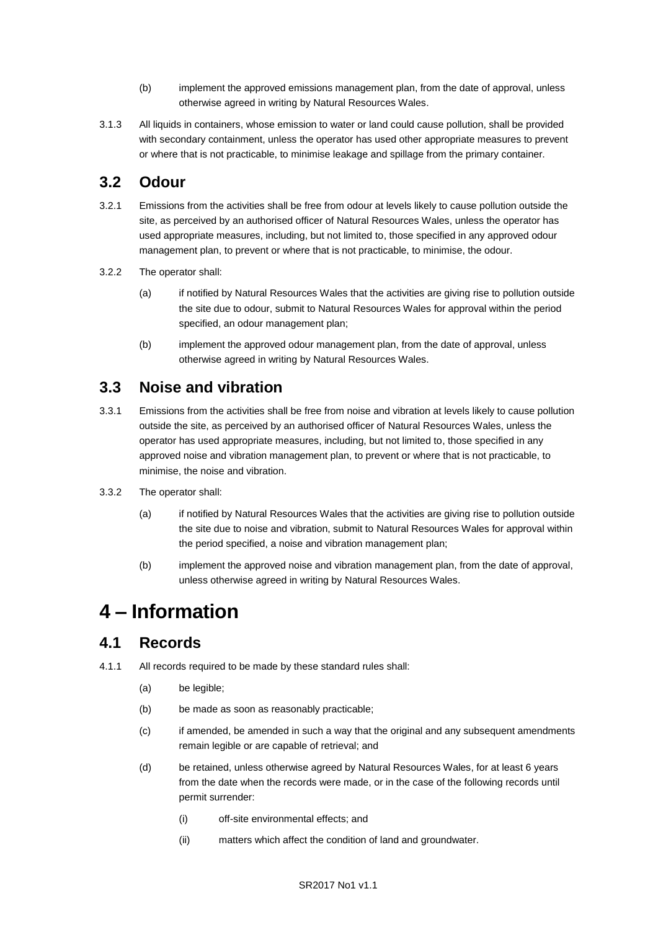- (b) implement the approved emissions management plan, from the date of approval, unless otherwise agreed in writing by Natural Resources Wales.
- 3.1.3 All liquids in containers, whose emission to water or land could cause pollution, shall be provided with secondary containment, unless the operator has used other appropriate measures to prevent or where that is not practicable, to minimise leakage and spillage from the primary container.

## **3.2 Odour**

- 3.2.1 Emissions from the activities shall be free from odour at levels likely to cause pollution outside the site, as perceived by an authorised officer of Natural Resources Wales, unless the operator has used appropriate measures, including, but not limited to, those specified in any approved odour management plan, to prevent or where that is not practicable, to minimise, the odour.
- 3.2.2 The operator shall:
	- (a) if notified by Natural Resources Wales that the activities are giving rise to pollution outside the site due to odour, submit to Natural Resources Wales for approval within the period specified, an odour management plan;
	- (b) implement the approved odour management plan, from the date of approval, unless otherwise agreed in writing by Natural Resources Wales.

### **3.3 Noise and vibration**

- 3.3.1 Emissions from the activities shall be free from noise and vibration at levels likely to cause pollution outside the site, as perceived by an authorised officer of Natural Resources Wales, unless the operator has used appropriate measures, including, but not limited to, those specified in any approved noise and vibration management plan, to prevent or where that is not practicable, to minimise, the noise and vibration.
- 3.3.2 The operator shall:
	- (a) if notified by Natural Resources Wales that the activities are giving rise to pollution outside the site due to noise and vibration, submit to Natural Resources Wales for approval within the period specified, a noise and vibration management plan;
	- (b) implement the approved noise and vibration management plan, from the date of approval, unless otherwise agreed in writing by Natural Resources Wales.

# **4 – Information**

### **4.1 Records**

- 4.1.1 All records required to be made by these standard rules shall:
	- (a) be legible;
	- (b) be made as soon as reasonably practicable;
	- (c) if amended, be amended in such a way that the original and any subsequent amendments remain legible or are capable of retrieval; and
	- (d) be retained, unless otherwise agreed by Natural Resources Wales, for at least 6 years from the date when the records were made, or in the case of the following records until permit surrender:
		- (i) off-site environmental effects; and
		- (ii) matters which affect the condition of land and groundwater.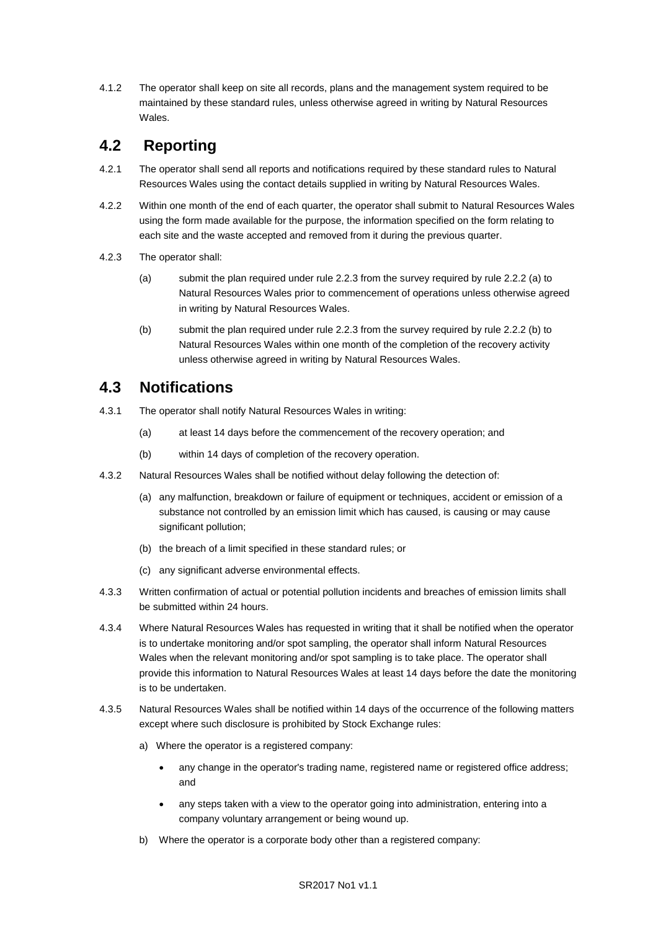4.1.2 The operator shall keep on site all records, plans and the management system required to be maintained by these standard rules, unless otherwise agreed in writing by Natural Resources Wales.

# **4.2 Reporting**

- 4.2.1 The operator shall send all reports and notifications required by these standard rules to Natural Resources Wales using the contact details supplied in writing by Natural Resources Wales.
- 4.2.2 Within one month of the end of each quarter, the operator shall submit to Natural Resources Wales using the form made available for the purpose, the information specified on the form relating to each site and the waste accepted and removed from it during the previous quarter.
- 4.2.3 The operator shall:
	- (a) submit the plan required under rule 2.2.3 from the survey required by rule 2.2.2 (a) to Natural Resources Wales prior to commencement of operations unless otherwise agreed in writing by Natural Resources Wales.
	- (b) submit the plan required under rule 2.2.3 from the survey required by rule 2.2.2 (b) to Natural Resources Wales within one month of the completion of the recovery activity unless otherwise agreed in writing by Natural Resources Wales.

### **4.3 Notifications**

- 4.3.1 The operator shall notify Natural Resources Wales in writing:
	- (a) at least 14 days before the commencement of the recovery operation; and
	- (b) within 14 days of completion of the recovery operation.
- 4.3.2 Natural Resources Wales shall be notified without delay following the detection of:
	- (a) any malfunction, breakdown or failure of equipment or techniques, accident or emission of a substance not controlled by an emission limit which has caused, is causing or may cause significant pollution;
	- (b) the breach of a limit specified in these standard rules; or
	- (c) any significant adverse environmental effects.
- 4.3.3 Written confirmation of actual or potential pollution incidents and breaches of emission limits shall be submitted within 24 hours.
- 4.3.4 Where Natural Resources Wales has requested in writing that it shall be notified when the operator is to undertake monitoring and/or spot sampling, the operator shall inform Natural Resources Wales when the relevant monitoring and/or spot sampling is to take place. The operator shall provide this information to Natural Resources Wales at least 14 days before the date the monitoring is to be undertaken.
- 4.3.5 Natural Resources Wales shall be notified within 14 days of the occurrence of the following matters except where such disclosure is prohibited by Stock Exchange rules:
	- a) Where the operator is a registered company:
		- any change in the operator's trading name, registered name or registered office address; and
		- any steps taken with a view to the operator going into administration, entering into a company voluntary arrangement or being wound up.
	- b) Where the operator is a corporate body other than a registered company: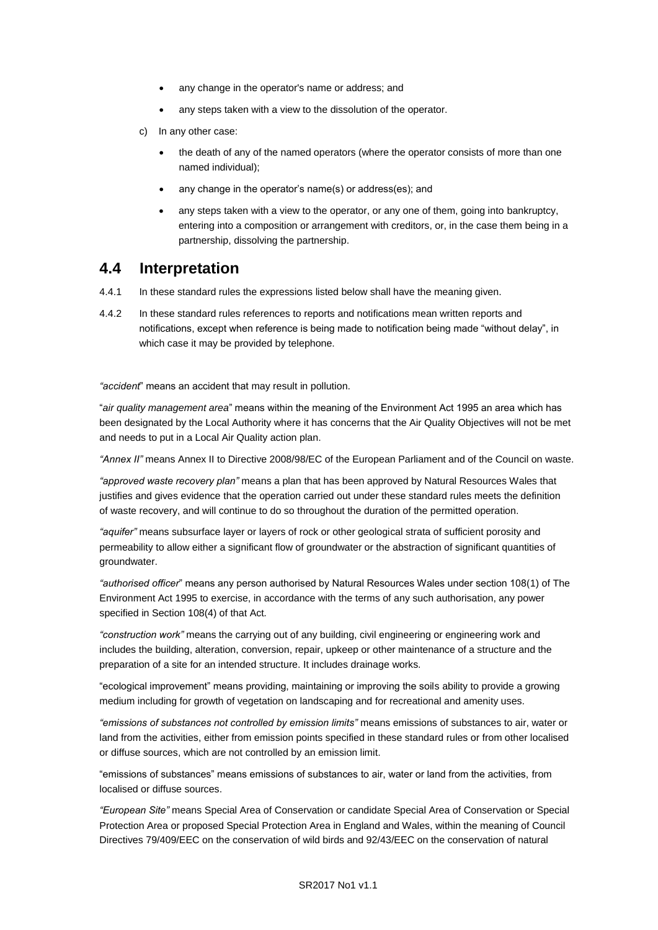- any change in the operator's name or address; and
- any steps taken with a view to the dissolution of the operator.
- c) In any other case:
	- the death of any of the named operators (where the operator consists of more than one named individual);
	- any change in the operator's name(s) or address(es); and
	- any steps taken with a view to the operator, or any one of them, going into bankruptcy, entering into a composition or arrangement with creditors, or, in the case them being in a partnership, dissolving the partnership.

#### **4.4 Interpretation**

- 4.4.1 In these standard rules the expressions listed below shall have the meaning given.
- 4.4.2 In these standard rules references to reports and notifications mean written reports and notifications, except when reference is being made to notification being made "without delay", in which case it may be provided by telephone.

*"accident*" means an accident that may result in pollution.

"*air quality management area*" means within the meaning of the Environment Act 1995 an area which has been designated by the Local Authority where it has concerns that the Air Quality Objectives will not be met and needs to put in a Local Air Quality action plan.

*"Annex II"* means Annex II to Directive 2008/98/EC of the European Parliament and of the Council on waste.

*"approved waste recovery plan"* means a plan that has been approved by Natural Resources Wales that justifies and gives evidence that the operation carried out under these standard rules meets the definition of waste recovery, and will continue to do so throughout the duration of the permitted operation.

*"aquifer"* means subsurface layer or layers of rock or other geological strata of sufficient porosity and permeability to allow either a significant flow of groundwater or the abstraction of significant quantities of groundwater.

*"authorised officer*" means any person authorised by Natural Resources Wales under section 108(1) of The Environment Act 1995 to exercise, in accordance with the terms of any such authorisation, any power specified in Section 108(4) of that Act*.*

*"construction work"* means the carrying out of any building, civil engineering or engineering work and includes the building, alteration, conversion, repair, upkeep or other maintenance of a structure and the preparation of a site for an intended structure. It includes drainage works.

"ecological improvement" means providing, maintaining or improving the soils ability to provide a growing medium including for growth of vegetation on landscaping and for recreational and amenity uses.

*"emissions of substances not controlled by emission limits"* means emissions of substances to air, water or land from the activities, either from emission points specified in these standard rules or from other localised or diffuse sources, which are not controlled by an emission limit.

"emissions of substances" means emissions of substances to air, water or land from the activities, from localised or diffuse sources.

*"European Site"* means Special Area of Conservation or candidate Special Area of Conservation or Special Protection Area or proposed Special Protection Area in England and Wales, within the meaning of Council Directives 79/409/EEC on the conservation of wild birds and 92/43/EEC on the conservation of natural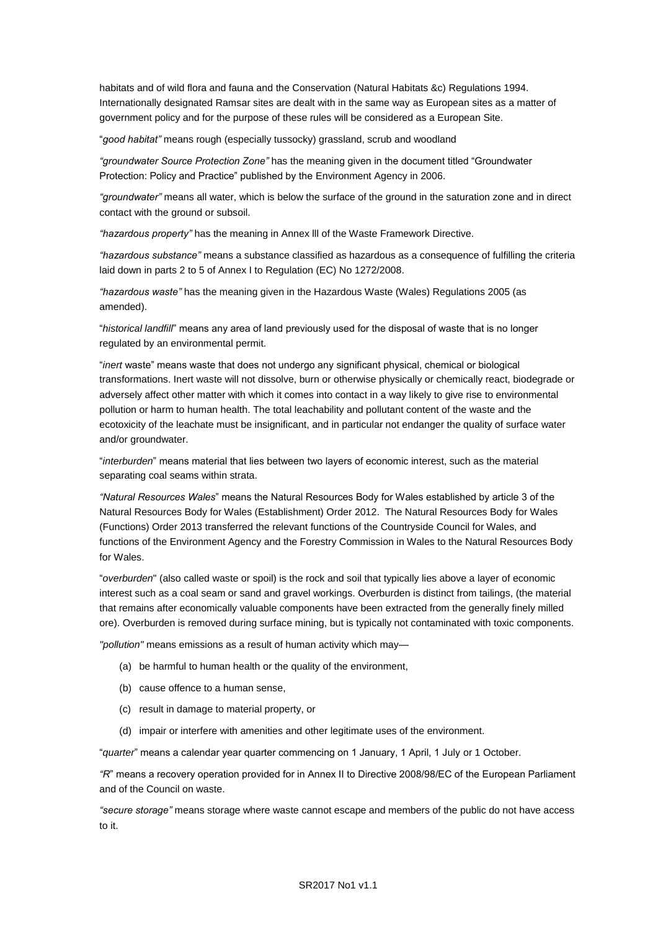habitats and of wild flora and fauna and the Conservation (Natural Habitats &c) Regulations 1994. Internationally designated Ramsar sites are dealt with in the same way as European sites as a matter of government policy and for the purpose of these rules will be considered as a European Site.

"*good habitat"* means rough (especially tussocky) grassland, scrub and woodland

*"groundwater Source Protection Zone"* has the meaning given in the document titled "Groundwater Protection: Policy and Practice" published by the Environment Agency in 2006.

*"groundwater"* means all water, which is below the surface of the ground in the saturation zone and in direct contact with the ground or subsoil.

*"hazardous property"* has the meaning in Annex lll of the Waste Framework Directive.

*"hazardous substance"* means a substance classified as hazardous as a consequence of fulfilling the criteria laid down in parts 2 to 5 of Annex I to Regulation (EC) No 1272/2008.

*"hazardous waste"* has the meaning given in the Hazardous Waste (Wales) Regulations 2005 (as amended).

"*historical landfill*" means any area of land previously used for the disposal of waste that is no longer regulated by an environmental permit.

"*inert* waste" means waste that does not undergo any significant physical, chemical or biological transformations. Inert waste will not dissolve, burn or otherwise physically or chemically react, biodegrade or adversely affect other matter with which it comes into contact in a way likely to give rise to environmental pollution or harm to human health. The total leachability and pollutant content of the waste and the ecotoxicity of the leachate must be insignificant, and in particular not endanger the quality of surface water and/or groundwater.

"*interburden*" means material that lies between two layers of economic interest, such as the material separating coal seams within strata.

*"Natural Resources Wales*" means the Natural Resources Body for Wales established by article 3 of the Natural Resources Body for Wales (Establishment) Order 2012. The Natural Resources Body for Wales (Functions) Order 2013 transferred the relevant functions of the Countryside Council for Wales, and functions of the Environment Agency and the Forestry Commission in Wales to the Natural Resources Body for Wales.

"*overburden*" (also called waste or spoil) is the rock and soil that typically lies above a layer of economic interest such as a coal seam or sand and gravel workings. Overburden is distinct from tailings, (the material that remains after economically valuable components have been extracted from the generally finely milled ore). Overburden is removed during surface mining, but is typically not contaminated with toxic components.

*"pollution"* means emissions as a result of human activity which may—

- (a) be harmful to human health or the quality of the environment,
- (b) cause offence to a human sense,
- (c) result in damage to material property, or
- (d) impair or interfere with amenities and other legitimate uses of the environment.

"*quarter*" means a calendar year quarter commencing on 1 January, 1 April, 1 July or 1 October.

*"R*" means a recovery operation provided for in Annex II to Directive 2008/98/EC of the European Parliament and of the Council on waste.

*"secure storage"* means storage where waste cannot escape and members of the public do not have access to it.